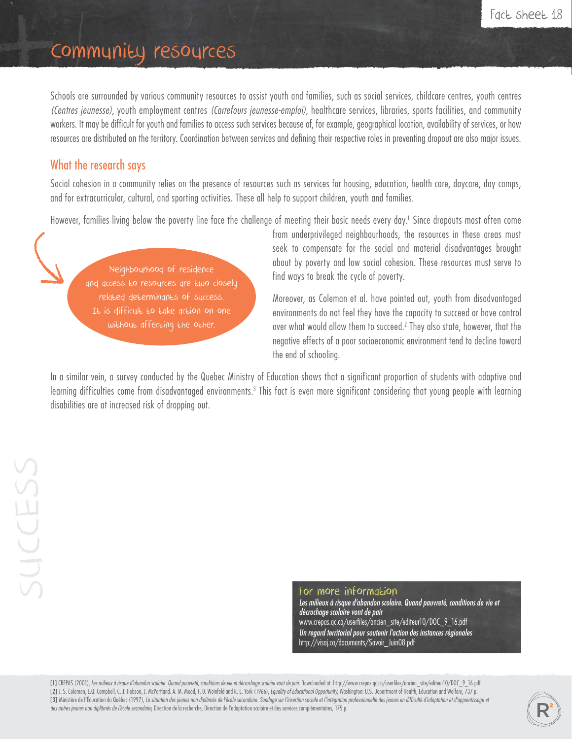## Community resources

Schools are surrounded by various community resources to assist youth and families, such as social services, childcare centres, youth centres *(Centres jeunesse)*, youth employment centres *(Carrefours jeunesse-emploi)*, healthcare services, libraries, sports facilities, and community workers. It may be difficult for youth and families to access such services because of, for example, geographical location, availability of services, or how resources are distributed on the territory. Coordination between services and defining their respective roles in preventing dropout are also major issues.

## What the research says

Social cohesion in a community relies on the presence of resources such as services for housing, education, health care, daycare, day camps, and for extracurricular, cultural, and sporting activities. These all help to support children, youth and families.

However, families living below the poverty line face the challenge of meeting their basic needs every day.1 Since dropouts most often come

Neighbourhood of residence and access to resources are two closely related determinants of success. It is difficult to take action on one without affecting the other.

from underprivileged neighbourhoods, the resources in these areas must seek to compensate for the social and material disadvantages brought about by poverty and low social cohesion. These resources must serve to find ways to break the cycle of poverty.

Moreover, as Coleman et al. have pointed out, youth from disadvantaged environments do not feel they have the capacity to succeed or have control over what would allow them to succeed.2 They also state, however, that the negative effects of a poor socioeconomic environment tend to decline toward the end of schooling.

In a similar vein, a survey conducted by the Quebec Ministry of Education shows that a significant proportion of students with adaptive and learning difficulties come from disadvantaged environments.<sup>3</sup> This fact is even more significant considering that young people with learning disabilities are at increased risk of dropping out.

For more information

Les milieux à risque d'abandon scolaire. Quand pauvreté, conditions de vie et *décrochage scolaire vont de pair* www.crepas.qc.ca/userfiles/ancien\_site/editeur10/DOC\_9\_16.pdf *Un regard territorial pour soutenir l'action des instances régionales* http://visaj.ca/documents/Savoir\_Juin08.pdf

[1] CREPAS (2001), *Les milieux à risque d'abandon scolaire. Quand pauvreté, conditions de vie et décrochage scolaire vont de pair. Downloaded at: http://www.crepas.qc.ca/userfiles/ancien\_site/editeur10/DOC\_9\_16.pdf.* [2] J. S. Coleman, E.Q. Campbell, C. J. Hobson, J. McPartland. A. M. Mood, F. D. Weinfeld and R. L. York (1966), Equality of Educational Opportunity, Washington: U.S. Department of Health, Education and Welfare, 737 p. [3] Ministère de l'Éducation du Québec (1997), La situation des jeunes non diplômés de l'école secondaire. Sondage sur l'insertion sociale et l'intégration professionnelle des jeunes en difficulté d'adaptation et d'apprent des autres jeunes non diplômés de l'école secondaire, Direction de la recherche, Direction de l'adaptation scolaire et des services complémentaires, 175 p.